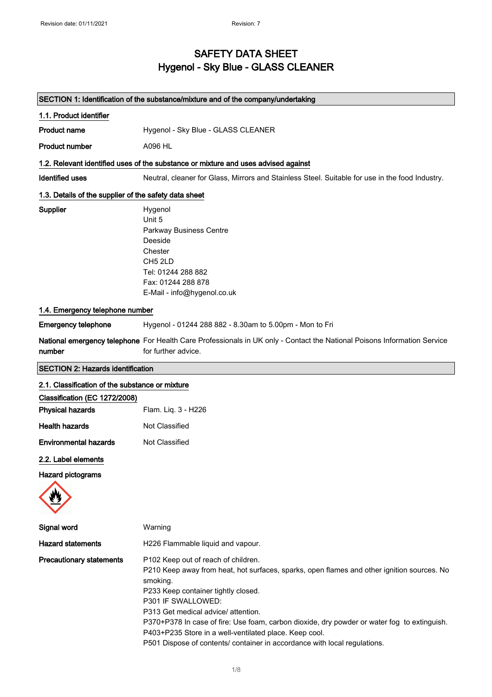### SAFETY DATA SHEET Hygenol - Sky Blue - GLASS CLEANER

|                                                       | SECTION 1: Identification of the substance/mixture and of the company/undertaking                                                                                                                                                                                                                                                                                                                                                                                                       |
|-------------------------------------------------------|-----------------------------------------------------------------------------------------------------------------------------------------------------------------------------------------------------------------------------------------------------------------------------------------------------------------------------------------------------------------------------------------------------------------------------------------------------------------------------------------|
| 1.1. Product identifier                               |                                                                                                                                                                                                                                                                                                                                                                                                                                                                                         |
| <b>Product name</b>                                   | Hygenol - Sky Blue - GLASS CLEANER                                                                                                                                                                                                                                                                                                                                                                                                                                                      |
| <b>Product number</b>                                 | A096 HL                                                                                                                                                                                                                                                                                                                                                                                                                                                                                 |
|                                                       | 1.2. Relevant identified uses of the substance or mixture and uses advised against                                                                                                                                                                                                                                                                                                                                                                                                      |
| <b>Identified uses</b>                                | Neutral, cleaner for Glass, Mirrors and Stainless Steel. Suitable for use in the food Industry.                                                                                                                                                                                                                                                                                                                                                                                         |
| 1.3. Details of the supplier of the safety data sheet |                                                                                                                                                                                                                                                                                                                                                                                                                                                                                         |
| Supplier                                              | Hygenol<br>Unit 5<br>Parkway Business Centre<br>Deeside<br>Chester<br>CH <sub>5</sub> 2LD<br>Tel: 01244 288 882<br>Fax: 01244 288 878<br>E-Mail - info@hygenol.co.uk                                                                                                                                                                                                                                                                                                                    |
| 1.4. Emergency telephone number                       |                                                                                                                                                                                                                                                                                                                                                                                                                                                                                         |
| <b>Emergency telephone</b>                            | Hygenol - 01244 288 882 - 8.30am to 5.00pm - Mon to Fri                                                                                                                                                                                                                                                                                                                                                                                                                                 |
| number                                                | National emergency telephone For Health Care Professionals in UK only - Contact the National Poisons Information Service<br>for further advice.                                                                                                                                                                                                                                                                                                                                         |
| <b>SECTION 2: Hazards identification</b>              |                                                                                                                                                                                                                                                                                                                                                                                                                                                                                         |
| 2.1. Classification of the substance or mixture       |                                                                                                                                                                                                                                                                                                                                                                                                                                                                                         |
| Classification (EC 1272/2008)                         |                                                                                                                                                                                                                                                                                                                                                                                                                                                                                         |
| <b>Physical hazards</b>                               | Flam. Liq. 3 - H226                                                                                                                                                                                                                                                                                                                                                                                                                                                                     |
| <b>Health hazards</b>                                 | Not Classified                                                                                                                                                                                                                                                                                                                                                                                                                                                                          |
| <b>Environmental hazards</b>                          | Not Classified                                                                                                                                                                                                                                                                                                                                                                                                                                                                          |
| 2.2. Label elements                                   |                                                                                                                                                                                                                                                                                                                                                                                                                                                                                         |
| <b>Hazard pictograms</b>                              |                                                                                                                                                                                                                                                                                                                                                                                                                                                                                         |
| Signal word                                           | Warning                                                                                                                                                                                                                                                                                                                                                                                                                                                                                 |
| <b>Hazard statements</b>                              | H226 Flammable liquid and vapour.                                                                                                                                                                                                                                                                                                                                                                                                                                                       |
| <b>Precautionary statements</b>                       | P102 Keep out of reach of children.<br>P210 Keep away from heat, hot surfaces, sparks, open flames and other ignition sources. No<br>smoking.<br>P233 Keep container tightly closed.<br>P301 IF SWALLOWED:<br>P313 Get medical advice/ attention.<br>P370+P378 In case of fire: Use foam, carbon dioxide, dry powder or water fog to extinguish.<br>P403+P235 Store in a well-ventilated place. Keep cool.<br>P501 Dispose of contents/ container in accordance with local regulations. |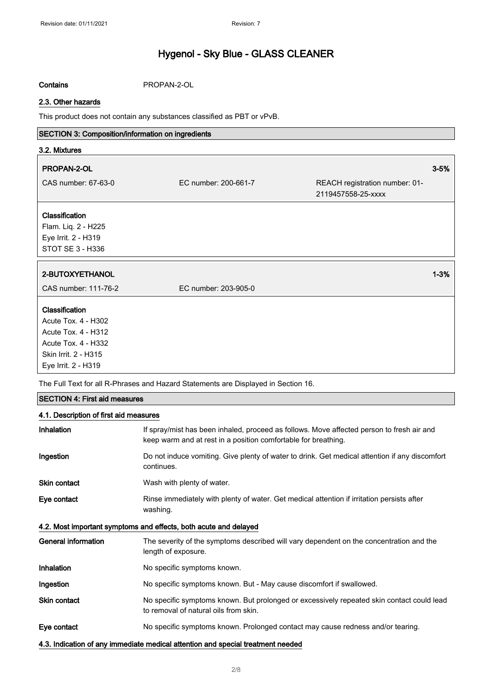### Contains PROPAN-2-OL

### 2.3. Other hazards

This product does not contain any substances classified as PBT or vPvB.

### SECTION 3: Composition/information on ingredients

| 3.2. Mixtures                                                                                               |                      |                                                      |          |
|-------------------------------------------------------------------------------------------------------------|----------------------|------------------------------------------------------|----------|
| PROPAN-2-OL                                                                                                 |                      |                                                      | $3 - 5%$ |
| CAS number: 67-63-0                                                                                         | EC number: 200-661-7 | REACH registration number: 01-<br>2119457558-25-xxxx |          |
| Classification                                                                                              |                      |                                                      |          |
| Flam. Liq. 2 - H225<br>Eye Irrit. 2 - H319<br>STOT SE 3 - H336                                              |                      |                                                      |          |
|                                                                                                             |                      |                                                      |          |
| 2-BUTOXYETHANOL                                                                                             |                      |                                                      | $1 - 3%$ |
| CAS number: 111-76-2                                                                                        | EC number: 203-905-0 |                                                      |          |
| Classification<br>Acute Tox. 4 - H302<br>Acute Tox. 4 - H312<br>Acute Tox. 4 - H332<br>Skin Irrit. 2 - H315 |                      |                                                      |          |
| Eye Irrit. 2 - H319                                                                                         |                      |                                                      |          |

The Full Text for all R-Phrases and Hazard Statements are Displayed in Section 16.

| <b>SECTION 4: First aid measures</b>   |                                                                                                                                                             |  |
|----------------------------------------|-------------------------------------------------------------------------------------------------------------------------------------------------------------|--|
| 4.1. Description of first aid measures |                                                                                                                                                             |  |
| Inhalation                             | If spray/mist has been inhaled, proceed as follows. Move affected person to fresh air and<br>keep warm and at rest in a position comfortable for breathing. |  |
| Ingestion                              | Do not induce vomiting. Give plenty of water to drink. Get medical attention if any discomfort<br>continues.                                                |  |
| <b>Skin contact</b>                    | Wash with plenty of water.                                                                                                                                  |  |
| Eye contact                            | Rinse immediately with plenty of water. Get medical attention if irritation persists after<br>washing.                                                      |  |
|                                        | 4.2. Most important symptoms and effects, both acute and delayed                                                                                            |  |
| <b>General information</b>             | The severity of the symptoms described will vary dependent on the concentration and the<br>length of exposure.                                              |  |
| Inhalation                             | No specific symptoms known.                                                                                                                                 |  |
| Ingestion                              | No specific symptoms known. But - May cause discomfort if swallowed.                                                                                        |  |
| <b>Skin contact</b>                    | No specific symptoms known. But prolonged or excessively repeated skin contact could lead<br>to removal of natural oils from skin.                          |  |
| Eye contact                            | No specific symptoms known. Prolonged contact may cause redness and/or tearing.                                                                             |  |
|                                        | 4.3. Indication of any immediate medical attention and special treatment needed                                                                             |  |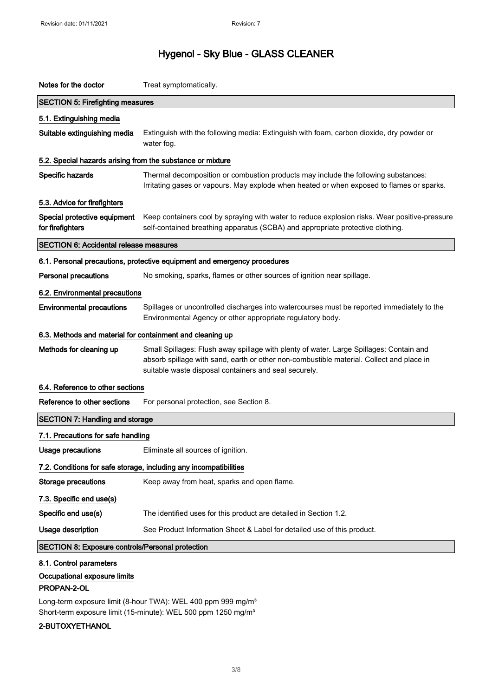| Notes for the doctor                                       | Treat symptomatically.                                                                                                                                                                                                                       |
|------------------------------------------------------------|----------------------------------------------------------------------------------------------------------------------------------------------------------------------------------------------------------------------------------------------|
| <b>SECTION 5: Firefighting measures</b>                    |                                                                                                                                                                                                                                              |
| 5.1. Extinguishing media                                   |                                                                                                                                                                                                                                              |
| Suitable extinguishing media                               | Extinguish with the following media: Extinguish with foam, carbon dioxide, dry powder or<br>water fog.                                                                                                                                       |
| 5.2. Special hazards arising from the substance or mixture |                                                                                                                                                                                                                                              |
| Specific hazards                                           | Thermal decomposition or combustion products may include the following substances:<br>Irritating gases or vapours. May explode when heated or when exposed to flames or sparks.                                                              |
| 5.3. Advice for firefighters                               |                                                                                                                                                                                                                                              |
| Special protective equipment<br>for firefighters           | Keep containers cool by spraying with water to reduce explosion risks. Wear positive-pressure<br>self-contained breathing apparatus (SCBA) and appropriate protective clothing.                                                              |
| <b>SECTION 6: Accidental release measures</b>              |                                                                                                                                                                                                                                              |
|                                                            | 6.1. Personal precautions, protective equipment and emergency procedures                                                                                                                                                                     |
| <b>Personal precautions</b>                                | No smoking, sparks, flames or other sources of ignition near spillage.                                                                                                                                                                       |
| 6.2. Environmental precautions                             |                                                                                                                                                                                                                                              |
| <b>Environmental precautions</b>                           | Spillages or uncontrolled discharges into watercourses must be reported immediately to the<br>Environmental Agency or other appropriate regulatory body.                                                                                     |
| 6.3. Methods and material for containment and cleaning up  |                                                                                                                                                                                                                                              |
| Methods for cleaning up                                    | Small Spillages: Flush away spillage with plenty of water. Large Spillages: Contain and<br>absorb spillage with sand, earth or other non-combustible material. Collect and place in<br>suitable waste disposal containers and seal securely. |
| 6.4. Reference to other sections                           |                                                                                                                                                                                                                                              |
| Reference to other sections                                | For personal protection, see Section 8.                                                                                                                                                                                                      |
| <b>SECTION 7: Handling and storage</b>                     |                                                                                                                                                                                                                                              |
| 7.1. Precautions for safe handling                         |                                                                                                                                                                                                                                              |
| Usage precautions                                          | Eliminate all sources of ignition.                                                                                                                                                                                                           |
|                                                            | 7.2. Conditions for safe storage, including any incompatibilities                                                                                                                                                                            |
| <b>Storage precautions</b>                                 |                                                                                                                                                                                                                                              |
|                                                            | Keep away from heat, sparks and open flame.                                                                                                                                                                                                  |
| 7.3. Specific end use(s)                                   |                                                                                                                                                                                                                                              |
| Specific end use(s)                                        | The identified uses for this product are detailed in Section 1.2.                                                                                                                                                                            |
| <b>Usage description</b>                                   | See Product Information Sheet & Label for detailed use of this product.                                                                                                                                                                      |
| <b>SECTION 8: Exposure controls/Personal protection</b>    |                                                                                                                                                                                                                                              |

### Occupational exposure limits

### PROPAN-2-OL

Long-term exposure limit (8-hour TWA): WEL 400 ppm 999 mg/m<sup>3</sup> Short-term exposure limit (15-minute): WEL 500 ppm 1250 mg/m<sup>3</sup>

### 2-BUTOXYETHANOL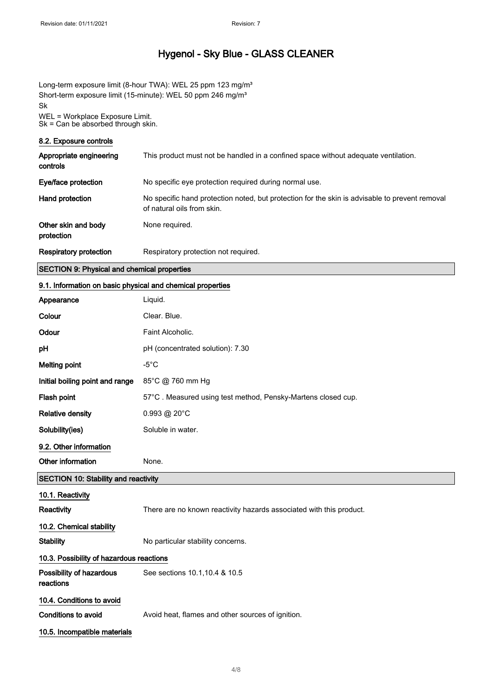Long-term exposure limit (8-hour TWA): WEL 25 ppm 123 mg/m<sup>3</sup> Short-term exposure limit (15-minute): WEL 50 ppm 246 mg/m<sup>3</sup> Sk WEL = Workplace Exposure Limit. Sk = Can be absorbed through skin.

#### 8.2. Exposure controls

I

| Appropriate engineering<br>controls | This product must not be handled in a confined space without adequate ventilation.                                           |
|-------------------------------------|------------------------------------------------------------------------------------------------------------------------------|
| Eye/face protection                 | No specific eye protection required during normal use.                                                                       |
| Hand protection                     | No specific hand protection noted, but protection for the skin is advisable to prevent removal<br>of natural oils from skin. |
| Other skin and body<br>protection   | None required.                                                                                                               |
| Respiratory protection              | Respiratory protection not required.                                                                                         |

#### SECTION 9: Physical and chemical properties

# 9.1. Information on basic physical and chemical properties Appearance Liquid.

| Colour                                      | Clear. Blue.                                                        |  |
|---------------------------------------------|---------------------------------------------------------------------|--|
| Odour                                       | Faint Alcoholic.                                                    |  |
| рH                                          | pH (concentrated solution): 7.30                                    |  |
| <b>Melting point</b>                        | $-5^{\circ}$ C                                                      |  |
| Initial boiling point and range             | 85°C @ 760 mm Hg                                                    |  |
| Flash point                                 | 57°C. Measured using test method, Pensky-Martens closed cup.        |  |
| <b>Relative density</b>                     | 0.993 @ 20°C                                                        |  |
| Solubility(ies)                             | Soluble in water.                                                   |  |
| 9.2. Other information                      |                                                                     |  |
| Other information                           | None.                                                               |  |
| <b>SECTION 10: Stability and reactivity</b> |                                                                     |  |
| 10.1. Reactivity                            |                                                                     |  |
| Reactivity                                  | There are no known reactivity hazards associated with this product. |  |
| 10.2. Chemical stability                    |                                                                     |  |
| <b>Stability</b>                            | No particular stability concerns.                                   |  |
| 10.3. Possibility of hazardous reactions    |                                                                     |  |
| Possibility of hazardous<br>reactions       | See sections 10.1, 10.4 & 10.5                                      |  |
| 10.4. Conditions to avoid                   |                                                                     |  |
| <b>Conditions to avoid</b>                  | Avoid heat, flames and other sources of ignition.                   |  |
| 10.5. Incompatible materials                |                                                                     |  |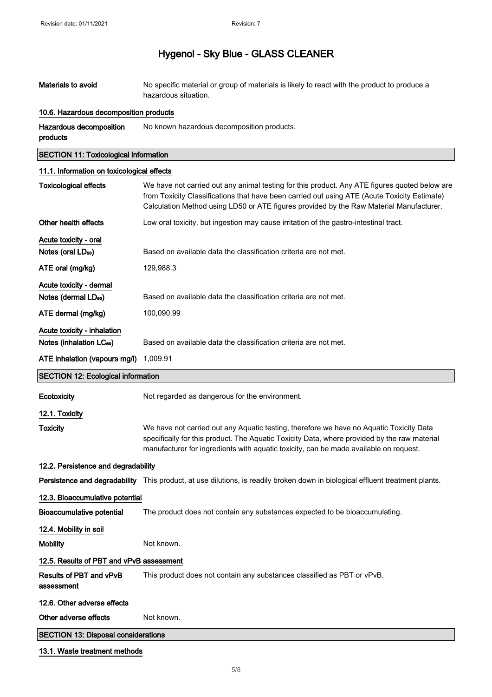Materials to avoid No specific material or group of materials is likely to react with the product to produce a hazardous situation.

### 10.6. Hazardous decomposition products

Hazardous decomposition products No known hazardous decomposition products.

### SECTION 11: Toxicological information

### 11.1. Information on toxicological effects

| <b>Toxicological effects</b>                 | We have not carried out any animal testing for this product. Any ATE figures quoted below are<br>from Toxicity Classifications that have been carried out using ATE (Acute Toxicity Estimate)<br>Calculation Method using LD50 or ATE figures provided by the Raw Material Manufacturer. |
|----------------------------------------------|------------------------------------------------------------------------------------------------------------------------------------------------------------------------------------------------------------------------------------------------------------------------------------------|
| Other health effects                         | Low oral toxicity, but ingestion may cause irritation of the gastro-intestinal tract.                                                                                                                                                                                                    |
| Acute toxicity - oral                        |                                                                                                                                                                                                                                                                                          |
| Notes (oral LD <sub>50</sub> )               | Based on available data the classification criteria are not met.                                                                                                                                                                                                                         |
| ATE oral (mg/kg)                             | 129,988.3                                                                                                                                                                                                                                                                                |
| Acute toxicity - dermal                      |                                                                                                                                                                                                                                                                                          |
| Notes (dermal LD <sub>50</sub> )             | Based on available data the classification criteria are not met.                                                                                                                                                                                                                         |
| ATE dermal (mg/kg)                           | 100,090.99                                                                                                                                                                                                                                                                               |
| Acute toxicity - inhalation                  |                                                                                                                                                                                                                                                                                          |
| Notes (inhalation LC <sub>50</sub> )         | Based on available data the classification criteria are not met.                                                                                                                                                                                                                         |
| ATE inhalation (vapours mg/l)                | 1.009.91                                                                                                                                                                                                                                                                                 |
| <b>SECTION 12: Ecological information</b>    |                                                                                                                                                                                                                                                                                          |
| Ecotoxicity                                  | Not regarded as dangerous for the environment.                                                                                                                                                                                                                                           |
| 12.1. Toxicity                               |                                                                                                                                                                                                                                                                                          |
| <b>Toxicity</b>                              | We have not carried out any Aquatic testing, therefore we have no Aquatic Toxicity Data<br>specifically for this product. The Aquatic Toxicity Data, where provided by the raw material<br>manufacturer for ingredients with aquatic toxicity, can be made available on request.         |
| 12.2. Persistence and degradability          |                                                                                                                                                                                                                                                                                          |
|                                              | Persistence and degradability This product, at use dilutions, is readily broken down in biological effluent treatment plants.                                                                                                                                                            |
| 12.3. Bioaccumulative potential              |                                                                                                                                                                                                                                                                                          |
| <b>Bioaccumulative potential</b>             | The product does not contain any substances expected to be bioaccumulating.                                                                                                                                                                                                              |
| 12.4. Mobility in soil                       |                                                                                                                                                                                                                                                                                          |
| <b>Mobility</b>                              | Not known.                                                                                                                                                                                                                                                                               |
| 12.5. Results of PBT and vPvB assessment     |                                                                                                                                                                                                                                                                                          |
| <b>Results of PBT and vPvB</b><br>assessment | This product does not contain any substances classified as PBT or vPvB.                                                                                                                                                                                                                  |
| 12.6. Other adverse effects                  |                                                                                                                                                                                                                                                                                          |
| Other adverse effects                        | Not known.                                                                                                                                                                                                                                                                               |
| <b>SECTION 13: Disposal considerations</b>   |                                                                                                                                                                                                                                                                                          |
| 13.1. Waste treatment methods                |                                                                                                                                                                                                                                                                                          |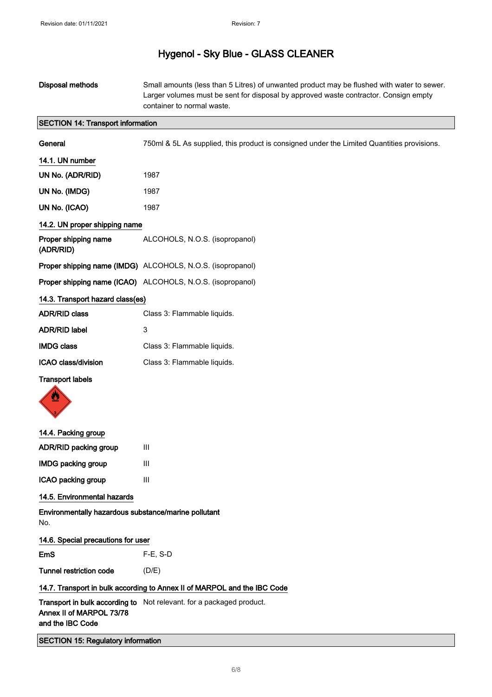| Disposal methods                                            | Small amounts (less than 5 Litres) of unwanted product may be flushed with water to sewer.<br>Larger volumes must be sent for disposal by approved waste contractor. Consign empty<br>container to normal waste. |
|-------------------------------------------------------------|------------------------------------------------------------------------------------------------------------------------------------------------------------------------------------------------------------------|
| <b>SECTION 14: Transport information</b>                    |                                                                                                                                                                                                                  |
| General                                                     | 750ml & 5L As supplied, this product is consigned under the Limited Quantities provisions.                                                                                                                       |
| 14.1. UN number                                             |                                                                                                                                                                                                                  |
| UN No. (ADR/RID)                                            | 1987                                                                                                                                                                                                             |
| UN No. (IMDG)                                               | 1987                                                                                                                                                                                                             |
| UN No. (ICAO)                                               | 1987                                                                                                                                                                                                             |
| 14.2. UN proper shipping name                               |                                                                                                                                                                                                                  |
| Proper shipping name<br>(ADR/RID)                           | ALCOHOLS, N.O.S. (isopropanol)                                                                                                                                                                                   |
|                                                             | Proper shipping name (IMDG) ALCOHOLS, N.O.S. (isopropanol)                                                                                                                                                       |
|                                                             | Proper shipping name (ICAO) ALCOHOLS, N.O.S. (isopropanol)                                                                                                                                                       |
| 14.3. Transport hazard class(es)                            |                                                                                                                                                                                                                  |
| <b>ADR/RID class</b>                                        | Class 3: Flammable liquids.                                                                                                                                                                                      |
| <b>ADR/RID label</b>                                        | 3                                                                                                                                                                                                                |
| <b>IMDG class</b>                                           | Class 3: Flammable liquids.                                                                                                                                                                                      |
| ICAO class/division                                         | Class 3: Flammable liquids.                                                                                                                                                                                      |
| <b>Transport labels</b>                                     |                                                                                                                                                                                                                  |
| 14.4. Packing group                                         |                                                                                                                                                                                                                  |
| ADR/RID packing group                                       | Ш                                                                                                                                                                                                                |
| <b>IMDG packing group</b>                                   | III                                                                                                                                                                                                              |
| ICAO packing group                                          | Ш                                                                                                                                                                                                                |
| 14.5. Environmental hazards                                 |                                                                                                                                                                                                                  |
| Environmentally hazardous substance/marine pollutant<br>No. |                                                                                                                                                                                                                  |
| 14.6. Special precautions for user                          |                                                                                                                                                                                                                  |
| EmS                                                         | $F-E$ , S-D                                                                                                                                                                                                      |
| <b>Tunnel restriction code</b>                              | (D/E)                                                                                                                                                                                                            |
|                                                             | 14.7. Transport in bulk according to Annex II of MARPOL and the IBC Code                                                                                                                                         |
| Annex II of MARPOL 73/78<br>and the IBC Code                | Transport in bulk according to Not relevant. for a packaged product.                                                                                                                                             |
| <b>SECTION 15: Regulatory information</b>                   |                                                                                                                                                                                                                  |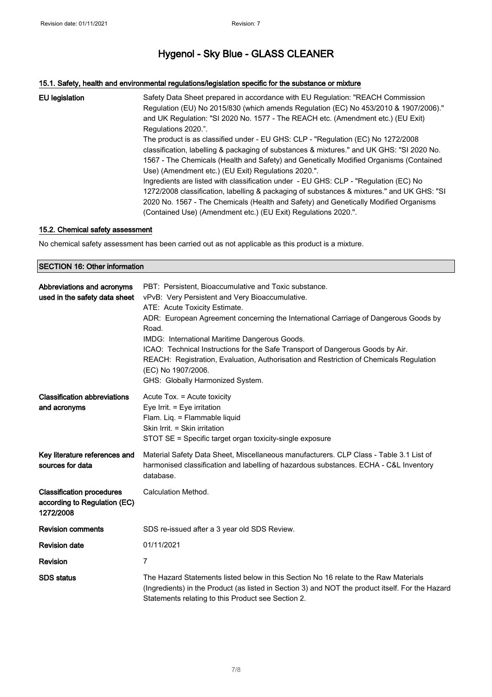### 15.1. Safety, health and environmental regulations/legislation specific for the substance or mixture

| EU legislation | Safety Data Sheet prepared in accordance with EU Regulation: "REACH Commission<br>Regulation (EU) No 2015/830 (which amends Regulation (EC) No 453/2010 & 1907/2006)."<br>and UK Regulation: "SI 2020 No. 1577 - The REACH etc. (Amendment etc.) (EU Exit)<br>Regulations 2020.".<br>The product is as classified under - EU GHS: CLP - "Regulation (EC) No 1272/2008<br>classification, labelling & packaging of substances & mixtures." and UK GHS: "SI 2020 No.<br>1567 - The Chemicals (Health and Safety) and Genetically Modified Organisms (Contained<br>Use) (Amendment etc.) (EU Exit) Regulations 2020.".<br>Ingredients are listed with classification under - EU GHS: CLP - "Regulation (EC) No<br>1272/2008 classification, labelling & packaging of substances & mixtures." and UK GHS: "SI<br>2020 No. 1567 - The Chemicals (Health and Safety) and Genetically Modified Organisms |
|----------------|---------------------------------------------------------------------------------------------------------------------------------------------------------------------------------------------------------------------------------------------------------------------------------------------------------------------------------------------------------------------------------------------------------------------------------------------------------------------------------------------------------------------------------------------------------------------------------------------------------------------------------------------------------------------------------------------------------------------------------------------------------------------------------------------------------------------------------------------------------------------------------------------------|
|                | (Contained Use) (Amendment etc.) (EU Exit) Regulations 2020.".                                                                                                                                                                                                                                                                                                                                                                                                                                                                                                                                                                                                                                                                                                                                                                                                                                    |

### 15.2. Chemical safety assessment

No chemical safety assessment has been carried out as not applicable as this product is a mixture.

### SECTION 16: Other information

| Abbreviations and acronyms<br>used in the safety data sheet                   | PBT: Persistent, Bioaccumulative and Toxic substance.<br>vPvB: Very Persistent and Very Bioaccumulative.<br>ATE: Acute Toxicity Estimate.<br>ADR: European Agreement concerning the International Carriage of Dangerous Goods by<br>Road.<br>IMDG: International Maritime Dangerous Goods.<br>ICAO: Technical Instructions for the Safe Transport of Dangerous Goods by Air.<br>REACH: Registration, Evaluation, Authorisation and Restriction of Chemicals Regulation<br>(EC) No 1907/2006.<br>GHS: Globally Harmonized System. |
|-------------------------------------------------------------------------------|----------------------------------------------------------------------------------------------------------------------------------------------------------------------------------------------------------------------------------------------------------------------------------------------------------------------------------------------------------------------------------------------------------------------------------------------------------------------------------------------------------------------------------|
| <b>Classification abbreviations</b><br>and acronyms                           | Acute Tox. = Acute toxicity<br>Eye Irrit. $=$ Eye irritation<br>Flam. Liq. = Flammable liquid<br>Skin Irrit. = Skin irritation<br>STOT SE = Specific target organ toxicity-single exposure                                                                                                                                                                                                                                                                                                                                       |
| Key literature references and<br>sources for data                             | Material Safety Data Sheet, Miscellaneous manufacturers. CLP Class - Table 3.1 List of<br>harmonised classification and labelling of hazardous substances. ECHA - C&L Inventory<br>database.                                                                                                                                                                                                                                                                                                                                     |
| <b>Classification procedures</b><br>according to Regulation (EC)<br>1272/2008 | Calculation Method.                                                                                                                                                                                                                                                                                                                                                                                                                                                                                                              |
| <b>Revision comments</b>                                                      | SDS re-issued after a 3 year old SDS Review.                                                                                                                                                                                                                                                                                                                                                                                                                                                                                     |
| <b>Revision date</b>                                                          | 01/11/2021                                                                                                                                                                                                                                                                                                                                                                                                                                                                                                                       |
| <b>Revision</b>                                                               | 7                                                                                                                                                                                                                                                                                                                                                                                                                                                                                                                                |
| <b>SDS</b> status                                                             | The Hazard Statements listed below in this Section No 16 relate to the Raw Materials<br>(Ingredients) in the Product (as listed in Section 3) and NOT the product itself. For the Hazard<br>Statements relating to this Product see Section 2.                                                                                                                                                                                                                                                                                   |